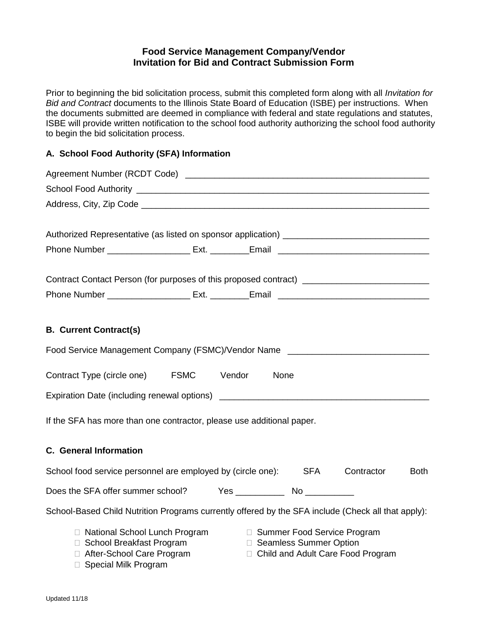# **Food Service Management Company/Vendor Invitation for Bid and Contract Submission Form**

Prior to beginning the bid solicitation process, submit this completed form along with all *Invitation for Bid and Contract* documents to the Illinois State Board of Education (ISBE) per instructions. When the documents submitted are deemed in compliance with federal and state regulations and statutes, ISBE will provide written notification to the school food authority authorizing the school food authority to begin the bid solicitation process.

## **A. School Food Authority (SFA) Information**

| Contract Contact Person (for purposes of this proposed contract) ___________________________________                                                                                                                    |  |        |      |  |             |
|-------------------------------------------------------------------------------------------------------------------------------------------------------------------------------------------------------------------------|--|--------|------|--|-------------|
|                                                                                                                                                                                                                         |  |        |      |  |             |
| <b>B. Current Contract(s)</b>                                                                                                                                                                                           |  |        |      |  |             |
| Food Service Management Company (FSMC)/Vendor Name _____________________________                                                                                                                                        |  |        |      |  |             |
| Contract Type (circle one) FSMC                                                                                                                                                                                         |  | Vendor | None |  |             |
|                                                                                                                                                                                                                         |  |        |      |  |             |
| If the SFA has more than one contractor, please use additional paper.                                                                                                                                                   |  |        |      |  |             |
| <b>C.</b> General Information                                                                                                                                                                                           |  |        |      |  |             |
| School food service personnel are employed by (circle one): SFA Contractor                                                                                                                                              |  |        |      |  | <b>Both</b> |
|                                                                                                                                                                                                                         |  |        |      |  |             |
| School-Based Child Nutrition Programs currently offered by the SFA include (Check all that apply):                                                                                                                      |  |        |      |  |             |
| □ National School Lunch Program □ Summer Food Service Program<br>□ School Breakfast Program<br>□ Seamless Summer Option<br>□ After-School Care Program<br>□ Child and Adult Care Food Program<br>□ Special Milk Program |  |        |      |  |             |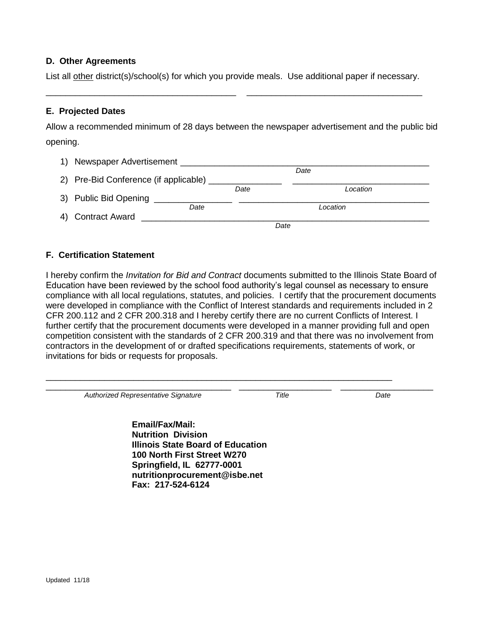### **D. Other Agreements**

List all other district(s)/school(s) for which you provide meals. Use additional paper if necessary. \_\_\_\_\_\_\_\_\_\_\_\_\_\_\_\_\_\_\_\_\_\_\_\_\_\_\_\_\_\_\_\_\_\_\_\_\_\_\_ \_\_\_\_\_\_\_\_\_\_\_\_\_\_\_\_\_\_\_\_\_\_\_\_\_\_\_\_\_\_\_\_\_\_\_\_

#### **E. Projected Dates**

Allow a recommended minimum of 28 days between the newspaper advertisement and the public bid opening.

- 1) Newspaper Advertisement \_\_\_\_\_\_\_\_\_\_\_\_\_\_\_\_\_\_\_\_\_\_\_\_\_\_\_\_\_\_\_\_\_\_\_\_\_\_\_\_\_\_\_\_\_\_\_\_\_\_\_  *Date*
- 2) Pre-Bid Conference (if applicable)  $\frac{1}{\text{Date}}$ *Date Location*
- 3) Public Bid Opening  $\frac{1}{\sqrt{2\pi}}$ *Date Location*
- 4) Contract Award \_\_\_\_\_\_\_\_\_\_\_\_\_\_\_\_\_\_\_\_\_\_\_\_\_\_\_\_\_\_\_\_\_\_\_\_\_\_\_\_\_\_\_\_\_\_\_\_\_\_\_\_\_\_\_\_\_\_\_ *Date*

#### **F. Certification Statement**

I hereby confirm the *Invitation for Bid and Contract* documents submitted to the Illinois State Board of Education have been reviewed by the school food authority's legal counsel as necessary to ensure compliance with all local regulations, statutes, and policies. I certify that the procurement documents were developed in compliance with the Conflict of Interest standards and requirements included in 2 CFR 200.112 and 2 CFR 200.318 and I hereby certify there are no current Conflicts of Interest. I further certify that the procurement documents were developed in a manner providing full and open competition consistent with the standards of 2 CFR 200.319 and that there was no involvement from contractors in the development of or drafted specifications requirements, statements of work, or invitations for bids or requests for proposals.

\_\_\_\_\_\_\_\_\_\_\_\_\_\_\_\_\_\_\_\_\_\_\_\_\_\_\_\_\_\_\_\_\_\_\_\_\_\_ \_\_\_\_\_\_\_\_\_\_\_\_\_\_\_\_\_\_\_ \_\_\_\_\_\_\_\_\_\_\_\_\_\_\_\_\_\_\_

| Authorized Representative Signature | Title | Date |
|-------------------------------------|-------|------|
|-------------------------------------|-------|------|

**Email/Fax/Mail: Nutrition Division Illinois State Board of Education 100 North First Street W270 Springfield, IL 62777-0001 nutritionprocurement@isbe.net Fax: 217-524-6124**

\_\_\_\_\_\_\_\_\_\_\_\_\_\_\_\_\_\_\_\_\_\_\_\_\_\_\_\_\_\_\_\_\_\_\_\_\_\_\_\_\_\_\_\_\_\_\_\_\_\_\_\_\_\_\_\_\_\_\_\_\_\_\_\_\_\_\_\_\_\_\_